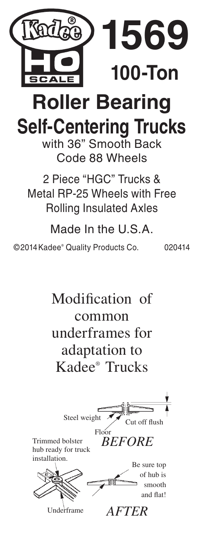

## **Roller Bearing Self-Centering Trucks**

with 36" Smooth Back Code 88 Wheels

2 Piece "HGC" Trucks & Metal RP-25 Wheels with Free Rolling Insulated Axles

Made In the U.S.A.

©2014Kadee® Quality Products Co. 020414

Modification of common underframes for adaptation to Kadee® Trucks